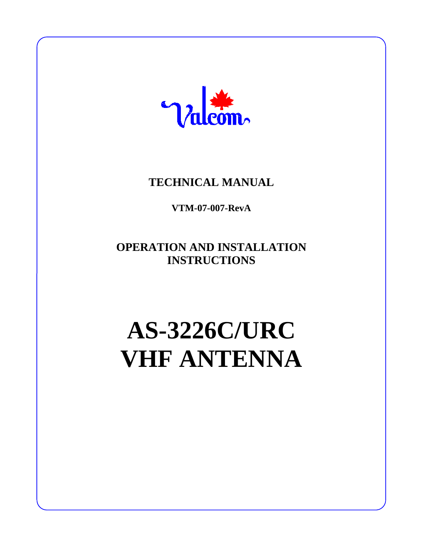

## **TECHNICAL MANUAL**

**VTM-07-007-RevA**

**OPERATION AND INSTALLATION INSTRUCTIONS**

# **AS-3226C/URC VHF ANTENNA**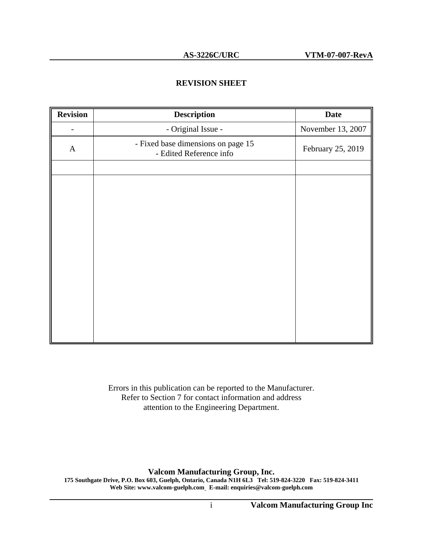#### **REVISION SHEET**

| <b>Revision</b> | <b>Description</b>                                            | <b>Date</b>       |
|-----------------|---------------------------------------------------------------|-------------------|
|                 | - Original Issue -                                            | November 13, 2007 |
| $\mathbf{A}$    | - Fixed base dimensions on page 15<br>- Edited Reference info | February 25, 2019 |
|                 |                                                               |                   |
|                 |                                                               |                   |
|                 |                                                               |                   |
|                 |                                                               |                   |
|                 |                                                               |                   |
|                 |                                                               |                   |
|                 |                                                               |                   |
|                 |                                                               |                   |
|                 |                                                               |                   |
|                 |                                                               |                   |
|                 |                                                               |                   |
|                 |                                                               |                   |
|                 |                                                               |                   |

Errors in this publication can be reported to the Manufacturer. Refer to Section 7 for contact information and address attention to the Engineering Department.

**Valcom Manufacturing Group, Inc.**

**175 Southgate Drive, P.O. Box 603, Guelph, Ontario, Canada N1H 6L3 Tel: 519-824-3220 Fax: 519-824-3411 Web Site: www.valcom-guelph.com E-mail: enquiries@valcom-guelph.com**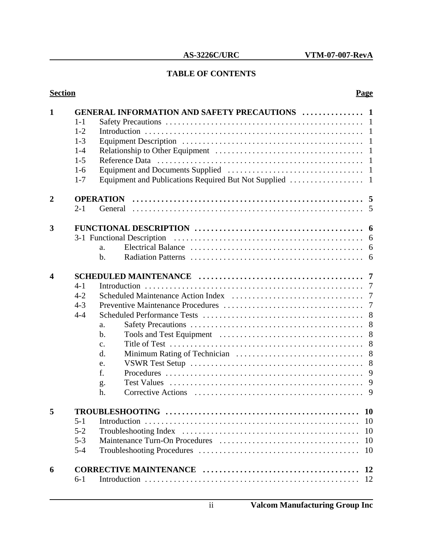### **TABLE OF CONTENTS**

#### **Section Page**

| 1                | $1 - 1$<br>$1 - 2$<br>$1 - 3$<br>$1 - 4$<br>$1 - 5$<br>$1-6$<br>$1 - 7$                                          | <b>GENERAL INFORMATION AND SAFETY PRECAUTIONS  1</b><br>-1<br>-1 |  |  |
|------------------|------------------------------------------------------------------------------------------------------------------|------------------------------------------------------------------|--|--|
| $\overline{2}$   | $2 - 1$                                                                                                          |                                                                  |  |  |
| 3                | a.<br>$\mathbf b$ .                                                                                              | 3-1 Functional Description<br>6<br>6                             |  |  |
| $\boldsymbol{4}$ | $4 - 1$<br>$4 - 2$<br>$4 - 3$<br>$4 - 4$<br>a.<br>b.<br>$\mathbf{C}$ .<br>$\mathbf{d}$ .<br>e.<br>f.<br>g.<br>h. | 7<br>$\overline{7}$<br>7<br>8<br>8<br>8<br>8<br>8<br>8<br>9<br>9 |  |  |
|                  | $5 - 1$<br>$5 - 2$<br>$5 - 3$<br>$5 - 4$                                                                         | <b>TROUBLESHOOTING</b><br><b>10</b><br><b>10</b><br>10           |  |  |
| 6                | $6-1$                                                                                                            | <b>12</b>                                                        |  |  |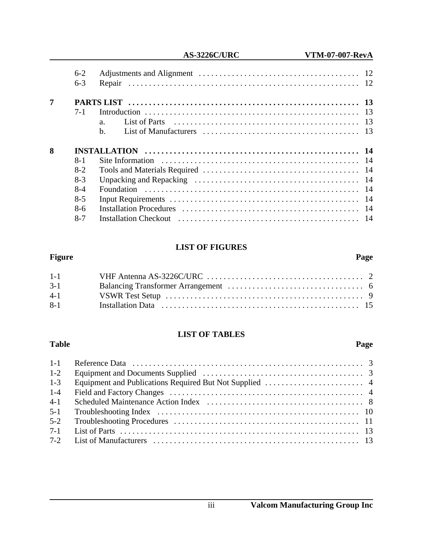|                | $6-2$   |             |  |
|----------------|---------|-------------|--|
|                | $6 - 3$ |             |  |
| $\overline{7}$ |         |             |  |
|                | $7-1$   |             |  |
|                |         | a.          |  |
|                |         | $h_{\cdot}$ |  |
|                |         |             |  |
| 8              |         |             |  |
|                | $8 - 1$ |             |  |
|                | $8-2$   |             |  |
|                | $8-3$   |             |  |
|                | $8-4$   |             |  |
|                | $8-5$   |             |  |
|                | $8-6$   |             |  |

#### **LIST OF FIGURES**

#### **Figure Page**

| $1-1$   |  |
|---------|--|
| $3-1$   |  |
| $4 - 1$ |  |
| $8 - 1$ |  |

### **LIST OF TABLES**

#### **Table Page**

| $1-2$   |  |
|---------|--|
| $1 - 3$ |  |
| $1-4$   |  |
| $4-1$   |  |
| $5 - 1$ |  |
| $5 - 2$ |  |
| $7 - 1$ |  |
|         |  |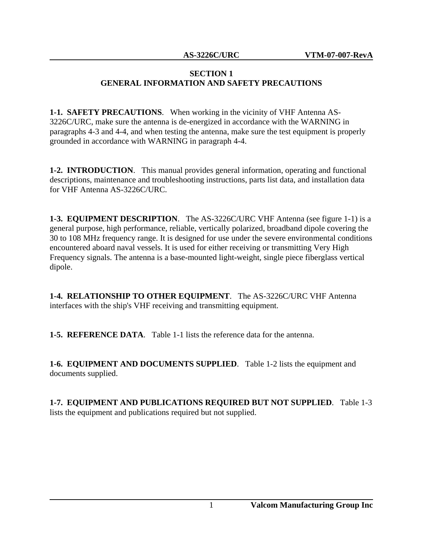#### **SECTION 1 GENERAL INFORMATION AND SAFETY PRECAUTIONS**

**1-1. SAFETY PRECAUTIONS**. When working in the vicinity of VHF Antenna AS-3226C/URC, make sure the antenna is de-energized in accordance with the WARNING in paragraphs 4-3 and 4-4, and when testing the antenna, make sure the test equipment is properly grounded in accordance with WARNING in paragraph 4-4.

**1-2. INTRODUCTION**. This manual provides general information, operating and functional descriptions, maintenance and troubleshooting instructions, parts list data, and installation data for VHF Antenna AS-3226C/URC.

**1-3. EQUIPMENT DESCRIPTION**. The AS-3226C/URC VHF Antenna (see figure 1-1) is a general purpose, high performance, reliable, vertically polarized, broadband dipole covering the 30 to 108 MHz frequency range. It is designed for use under the severe environmental conditions encountered aboard naval vessels. It is used for either receiving or transmitting Very High Frequency signals. The antenna is a base-mounted light-weight, single piece fiberglass vertical dipole.

**1-4. RELATIONSHIP TO OTHER EQUIPMENT**. The AS-3226C/URC VHF Antenna interfaces with the ship's VHF receiving and transmitting equipment.

**1-5. REFERENCE DATA**. Table 1-1 lists the reference data for the antenna.

**1-6. EQUIPMENT AND DOCUMENTS SUPPLIED**. Table 1-2 lists the equipment and documents supplied.

**1-7. EQUIPMENT AND PUBLICATIONS REQUIRED BUT NOT SUPPLIED**. Table 1-3 lists the equipment and publications required but not supplied.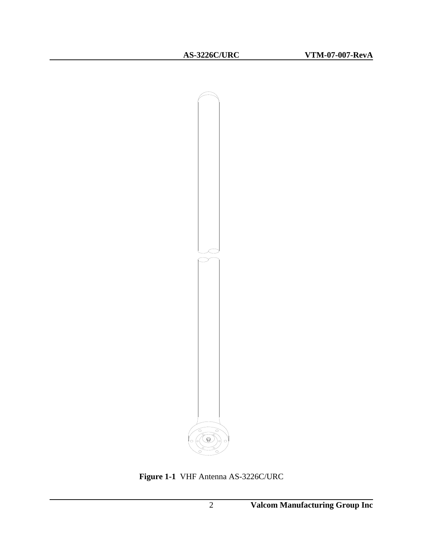

**Figure 1-1** VHF Antenna AS-3226C/URC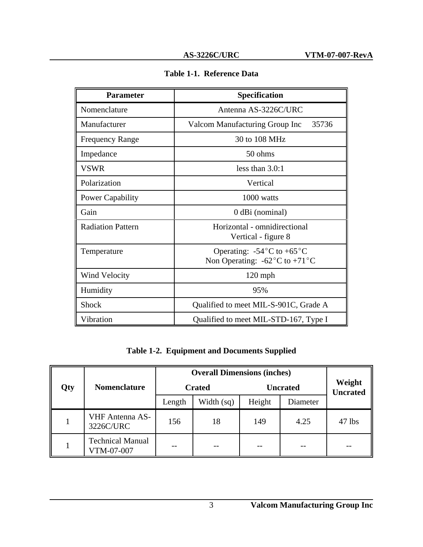| <b>Parameter</b>         | Specification                                                                                      |  |  |
|--------------------------|----------------------------------------------------------------------------------------------------|--|--|
| Nomenclature             | Antenna AS-3226C/URC                                                                               |  |  |
| Manufacturer             | 35736<br>Valcom Manufacturing Group Inc                                                            |  |  |
| <b>Frequency Range</b>   | 30 to 108 MHz                                                                                      |  |  |
| Impedance                | 50 ohms                                                                                            |  |  |
| VSWR                     | less than $3.0:1$                                                                                  |  |  |
| Polarization             | Vertical                                                                                           |  |  |
| <b>Power Capability</b>  | 1000 watts                                                                                         |  |  |
| Gain                     | 0 dBi (nominal)                                                                                    |  |  |
| <b>Radiation Pattern</b> | Horizontal - omnidirectional<br>Vertical - figure 8                                                |  |  |
| Temperature              | Operating: $-54^{\circ}$ C to $+65^{\circ}$ C<br>Non Operating: $-62^{\circ}$ C to $+71^{\circ}$ C |  |  |
| <b>Wind Velocity</b>     | $120$ mph                                                                                          |  |  |
| Humidity<br>95%          |                                                                                                    |  |  |
| <b>Shock</b>             | Qualified to meet MIL-S-901C, Grade A                                                              |  |  |
| Vibration                | Qualified to meet MIL-STD-167, Type I                                                              |  |  |

**Table 1-2. Equipment and Documents Supplied**

|     |                                       | <b>Overall Dimensions (inches)</b> |              |                 |          |                           |
|-----|---------------------------------------|------------------------------------|--------------|-----------------|----------|---------------------------|
| Qty | <b>Nomenclature</b>                   | <b>Crated</b>                      |              | <b>Uncrated</b> |          | Weight<br><b>Uncrated</b> |
|     |                                       | Length                             | Width $(sq)$ | Height          | Diameter |                           |
|     | <b>VHF</b> Antenna AS-<br>3226C/URC   | 156                                | 18           | 149             | 4.25     | $47$ lbs                  |
|     | <b>Technical Manual</b><br>VTM-07-007 |                                    |              |                 |          |                           |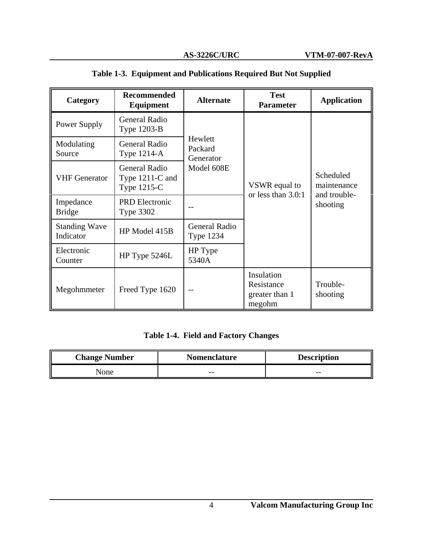| Category                          | <b>Recommended</b><br><b>Equipment</b>                                 | <b>Alternate</b>                                               | <b>Test</b><br><b>Parameter</b>                      | <b>Application</b>                                   |  |
|-----------------------------------|------------------------------------------------------------------------|----------------------------------------------------------------|------------------------------------------------------|------------------------------------------------------|--|
| Power Supply                      | <b>General Radio</b><br>Type 1203-B                                    |                                                                |                                                      |                                                      |  |
| Modulating<br>Source              | <b>General Radio</b><br>Type $1214-A$                                  | Hewlett<br>Packard<br>Generator                                |                                                      |                                                      |  |
| <b>VHF</b> Generator              | Model 608E<br><b>General Radio</b><br>Type $1211-C$ and<br>Type 1215-C |                                                                | VSWR equal to                                        | Scheduled<br>maintenance<br>and trouble-<br>shooting |  |
| Impedance<br><b>Bridge</b>        | <b>PRD</b> Electronic<br><b>Type 3302</b>                              | or less than 3.0:1<br><b>General Radio</b><br><b>Type 1234</b> |                                                      |                                                      |  |
| <b>Standing Wave</b><br>Indicator | HP Model 415B                                                          |                                                                |                                                      |                                                      |  |
| Electronic<br>Counter             | HP Type 5246L                                                          | HP Type<br>5340A                                               |                                                      |                                                      |  |
| Megohmmeter                       | Freed Type 1620                                                        | $- -$                                                          | Insulation<br>Resistance<br>greater than 1<br>megohm | Trouble-<br>shooting                                 |  |

### **Table 1-3. Equipment and Publications Required But Not Supplied**

### **Table 1-4. Field and Factory Changes**

| <b>Change Number</b> | <b>Nomenclature</b> | <b>Description</b> |  |
|----------------------|---------------------|--------------------|--|
| None                 | $- -$               | $- -$              |  |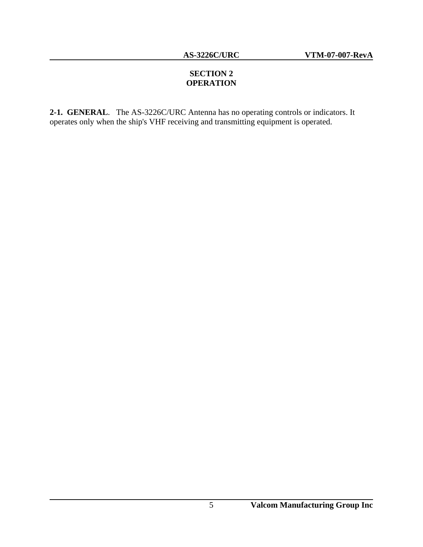### **SECTION 2 OPERATION**

**2-1. GENERAL**. The AS-3226C/URC Antenna has no operating controls or indicators. It operates only when the ship's VHF receiving and transmitting equipment is operated.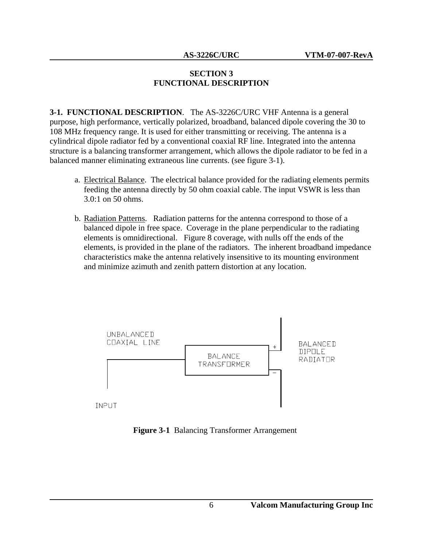#### **SECTION 3 FUNCTIONAL DESCRIPTION**

**3-1. FUNCTIONAL DESCRIPTION**. The AS-3226C/URC VHF Antenna is a general purpose, high performance, vertically polarized, broadband, balanced dipole covering the 30 to 108 MHz frequency range. It is used for either transmitting or receiving. The antenna is a cylindrical dipole radiator fed by a conventional coaxial RF line. Integrated into the antenna structure is a balancing transformer arrangement, which allows the dipole radiator to be fed in a balanced manner eliminating extraneous line currents. (see figure 3-1).

- a. Electrical Balance. The electrical balance provided for the radiating elements permits feeding the antenna directly by 50 ohm coaxial cable. The input VSWR is less than 3.0:1 on 50 ohms.
- b. Radiation Patterns. Radiation patterns for the antenna correspond to those of a balanced dipole in free space. Coverage in the plane perpendicular to the radiating elements is omnidirectional. Figure 8 coverage, with nulls off the ends of the elements, is provided in the plane of the radiators. The inherent broadband impedance characteristics make the antenna relatively insensitive to its mounting environment and minimize azimuth and zenith pattern distortion at any location.



**Figure 3-1** Balancing Transformer Arrangement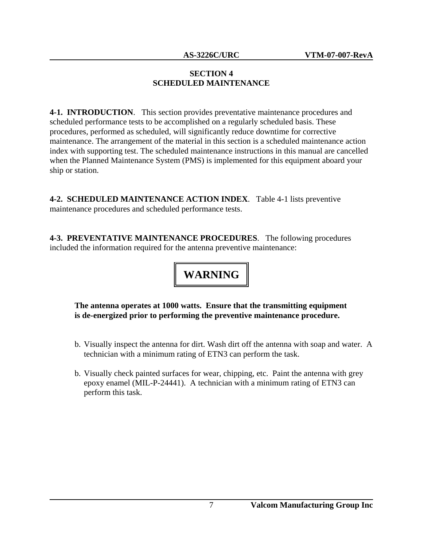#### **SECTION 4 SCHEDULED MAINTENANCE**

**4-1. INTRODUCTION**. This section provides preventative maintenance procedures and scheduled performance tests to be accomplished on a regularly scheduled basis. These procedures, performed as scheduled, will significantly reduce downtime for corrective maintenance. The arrangement of the material in this section is a scheduled maintenance action index with supporting test. The scheduled maintenance instructions in this manual are cancelled when the Planned Maintenance System (PMS) is implemented for this equipment aboard your ship or station.

**4-2. SCHEDULED MAINTENANCE ACTION INDEX**. Table 4-1 lists preventive maintenance procedures and scheduled performance tests.

**4-3. PREVENTATIVE MAINTENANCE PROCEDURES**. The following procedures included the information required for the antenna preventive maintenance:

# **WARNING**

#### **The antenna operates at 1000 watts. Ensure that the transmitting equipment is de-energized prior to performing the preventive maintenance procedure.**

- b. Visually inspect the antenna for dirt. Wash dirt off the antenna with soap and water. A technician with a minimum rating of ETN3 can perform the task.
- b. Visually check painted surfaces for wear, chipping, etc. Paint the antenna with grey epoxy enamel (MIL-P-24441). A technician with a minimum rating of ETN3 can perform this task.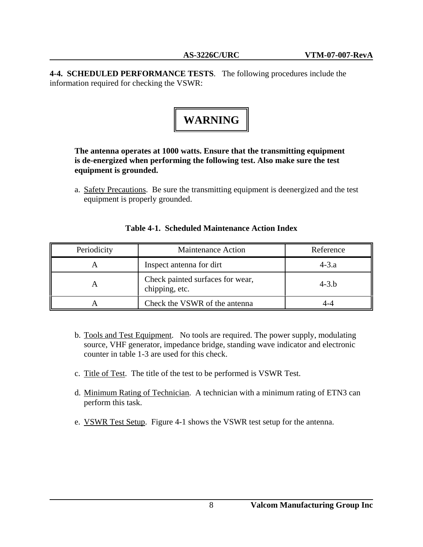**4-4. SCHEDULED PERFORMANCE TESTS**. The following procedures include the information required for checking the VSWR:

# **WARNING**

#### **The antenna operates at 1000 watts. Ensure that the transmitting equipment is de-energized when performing the following test. Also make sure the test equipment is grounded.**

a. Safety Precautions. Be sure the transmitting equipment is deenergized and the test equipment is properly grounded.

| Periodicity | <b>Maintenance Action</b>                          | Reference |  |
|-------------|----------------------------------------------------|-----------|--|
|             | Inspect antenna for dirt                           | $4 - 3.a$ |  |
|             | Check painted surfaces for wear,<br>chipping, etc. | $4 - 3.b$ |  |
|             | Check the VSWR of the antenna                      |           |  |

#### **Table 4-1. Scheduled Maintenance Action Index**

- b. Tools and Test Equipment. No tools are required. The power supply, modulating source, VHF generator, impedance bridge, standing wave indicator and electronic counter in table 1-3 are used for this check.
- c. Title of Test. The title of the test to be performed is VSWR Test.
- d. Minimum Rating of Technician. A technician with a minimum rating of ETN3 can perform this task.
- e. VSWR Test Setup. Figure 4-1 shows the VSWR test setup for the antenna.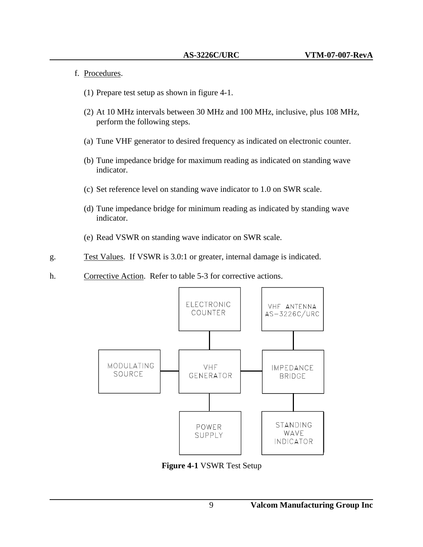- f. Procedures.
	- (1) Prepare test setup as shown in figure 4-1.
	- (2) At 10 MHz intervals between 30 MHz and 100 MHz, inclusive, plus 108 MHz, perform the following steps.
	- (a) Tune VHF generator to desired frequency as indicated on electronic counter.
	- (b) Tune impedance bridge for maximum reading as indicated on standing wave indicator.
	- (c) Set reference level on standing wave indicator to 1.0 on SWR scale.
	- (d) Tune impedance bridge for minimum reading as indicated by standing wave indicator.
	- (e) Read VSWR on standing wave indicator on SWR scale.
- g. Test Values. If VSWR is 3.0:1 or greater, internal damage is indicated.
- h. Corrective Action. Refer to table 5-3 for corrective actions.



**Figure 4-1** VSWR Test Setup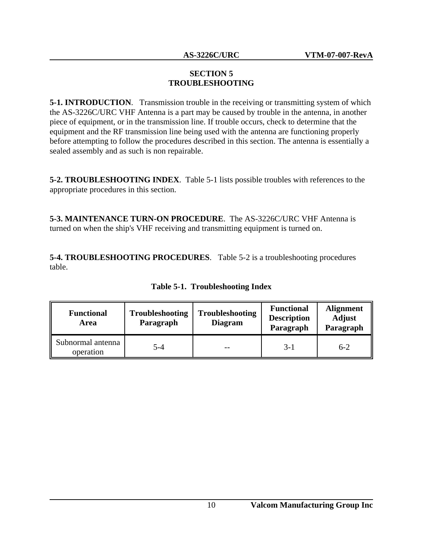#### **SECTION 5 TROUBLESHOOTING**

**5-1. INTRODUCTION.** Transmission trouble in the receiving or transmitting system of which the AS-3226C/URC VHF Antenna is a part may be caused by trouble in the antenna, in another piece of equipment, or in the transmission line. If trouble occurs, check to determine that the equipment and the RF transmission line being used with the antenna are functioning properly before attempting to follow the procedures described in this section. The antenna is essentially a sealed assembly and as such is non repairable.

**5-2. TROUBLESHOOTING INDEX**. Table 5-1 lists possible troubles with references to the appropriate procedures in this section.

**5-3. MAINTENANCE TURN-ON PROCEDURE**. The AS-3226C/URC VHF Antenna is turned on when the ship's VHF receiving and transmitting equipment is turned on.

**5-4. TROUBLESHOOTING PROCEDURES**. Table 5-2 is a troubleshooting procedures table.

| <b>Functional</b><br>Area      | <b>Troubleshooting</b><br>Paragraph | <b>Troubleshooting</b><br><b>Diagram</b> | <b>Functional</b><br><b>Description</b><br>Paragraph | <b>Alignment</b><br><b>Adjust</b><br>Paragraph |
|--------------------------------|-------------------------------------|------------------------------------------|------------------------------------------------------|------------------------------------------------|
| Subnormal antenna<br>operation | $5 - 4$                             |                                          | $3-1$                                                | $6-2$                                          |

**Table 5-1. Troubleshooting Index**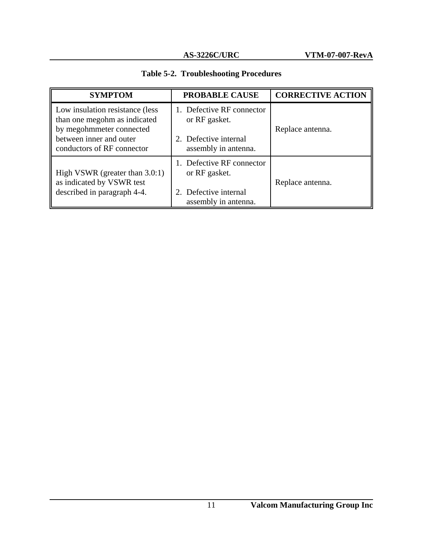|  | <b>Table 5-2. Troubleshooting Procedures</b> |  |
|--|----------------------------------------------|--|
|--|----------------------------------------------|--|

| <b>SYMPTOM</b>                                                                                                                                        | <b>PROBABLE CAUSE</b>                                                                       | <b>CORRECTIVE ACTION</b> |
|-------------------------------------------------------------------------------------------------------------------------------------------------------|---------------------------------------------------------------------------------------------|--------------------------|
| Low insulation resistance (less)<br>than one megohm as indicated<br>by megohmmeter connected<br>between inner and outer<br>conductors of RF connector | 1. Defective RF connector<br>or RF gasket.<br>2. Defective internal<br>assembly in antenna. | Replace antenna.         |
| High VSWR (greater than 3.0:1)<br>as indicated by VSWR test<br>described in paragraph 4-4.                                                            | 1. Defective RF connector<br>or RF gasket.<br>2. Defective internal<br>assembly in antenna. | Replace antenna.         |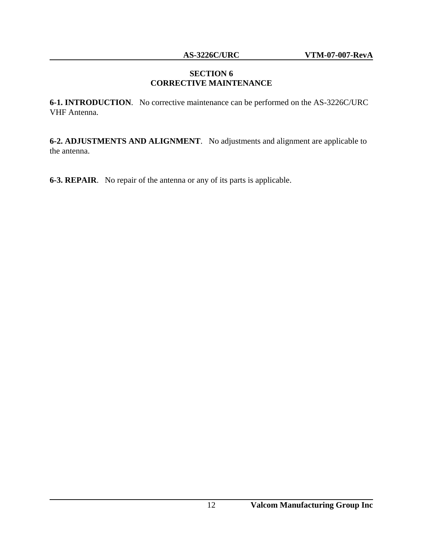#### **SECTION 6 CORRECTIVE MAINTENANCE**

**6-1. INTRODUCTION**. No corrective maintenance can be performed on the AS-3226C/URC VHF Antenna.

**6-2. ADJUSTMENTS AND ALIGNMENT**. No adjustments and alignment are applicable to the antenna.

**6-3. REPAIR**. No repair of the antenna or any of its parts is applicable.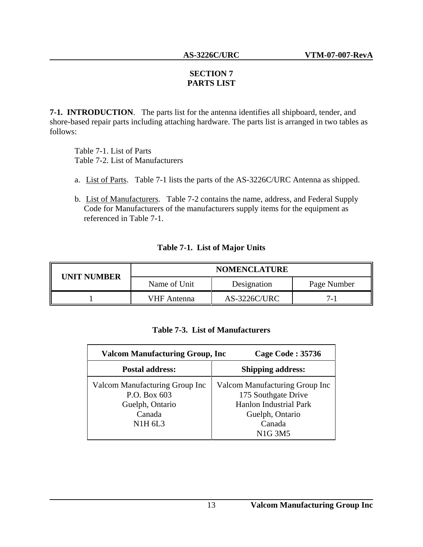#### **SECTION 7 PARTS LIST**

**7-1. INTRODUCTION**. The parts list for the antenna identifies all shipboard, tender, and shore-based repair parts including attaching hardware. The parts list is arranged in two tables as follows:

Table 7-1. List of Parts Table 7-2. List of Manufacturers

- a. List of Parts. Table 7-1 lists the parts of the AS-3226C/URC Antenna as shipped.
- b. List of Manufacturers. Table 7-2 contains the name, address, and Federal Supply Code for Manufacturers of the manufacturers supply items for the equipment as referenced in Table 7-1.

#### **Table 7-1. List of Major Units**

| <b>UNIT NUMBER</b> | <b>NOMENCLATURE</b> |                     |             |
|--------------------|---------------------|---------------------|-------------|
|                    | Name of Unit        | Designation         | Page Number |
|                    | VHF Antenna         | <b>AS-3226C/URC</b> |             |

#### **Table 7-3. List of Manufacturers**

| <b>Valcom Manufacturing Group, Inc.</b>                                                       | <b>Cage Code: 35736</b>                                                                                             |
|-----------------------------------------------------------------------------------------------|---------------------------------------------------------------------------------------------------------------------|
| <b>Postal address:</b>                                                                        | <b>Shipping address:</b>                                                                                            |
| Valcom Manufacturing Group Inc<br>P.O. Box 603<br>Guelph, Ontario<br>Canada<br><b>N1H 6L3</b> | Valcom Manufacturing Group Inc<br>175 Southgate Drive<br><b>Hanlon Industrial Park</b><br>Guelph, Ontario<br>Canada |
|                                                                                               | <b>N1G 3M5</b>                                                                                                      |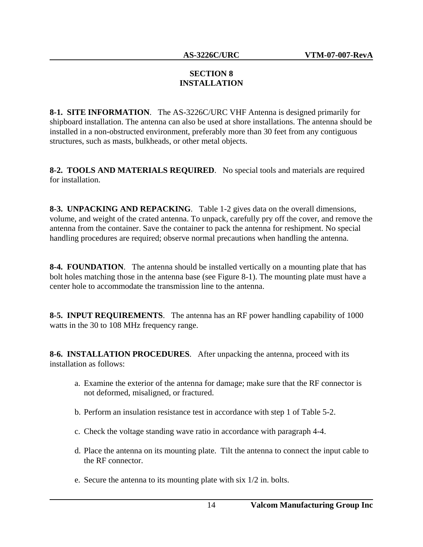#### **SECTION 8 INSTALLATION**

**8-1. SITE INFORMATION**. The AS-3226C/URC VHF Antenna is designed primarily for shipboard installation. The antenna can also be used at shore installations. The antenna should be installed in a non-obstructed environment, preferably more than 30 feet from any contiguous structures, such as masts, bulkheads, or other metal objects.

**8-2. TOOLS AND MATERIALS REQUIRED**. No special tools and materials are required for installation.

**8-3. UNPACKING AND REPACKING**. Table 1-2 gives data on the overall dimensions, volume, and weight of the crated antenna. To unpack, carefully pry off the cover, and remove the antenna from the container. Save the container to pack the antenna for reshipment. No special handling procedures are required; observe normal precautions when handling the antenna.

**8-4. FOUNDATION**. The antenna should be installed vertically on a mounting plate that has bolt holes matching those in the antenna base (see Figure 8-1). The mounting plate must have a center hole to accommodate the transmission line to the antenna.

**8-5. INPUT REQUIREMENTS**. The antenna has an RF power handling capability of 1000 watts in the 30 to 108 MHz frequency range.

**8-6. INSTALLATION PROCEDURES**. After unpacking the antenna, proceed with its installation as follows:

- a. Examine the exterior of the antenna for damage; make sure that the RF connector is not deformed, misaligned, or fractured.
- b. Perform an insulation resistance test in accordance with step 1 of Table 5-2.
- c. Check the voltage standing wave ratio in accordance with paragraph 4-4.
- d. Place the antenna on its mounting plate. Tilt the antenna to connect the input cable to the RF connector.
- e. Secure the antenna to its mounting plate with six 1/2 in. bolts.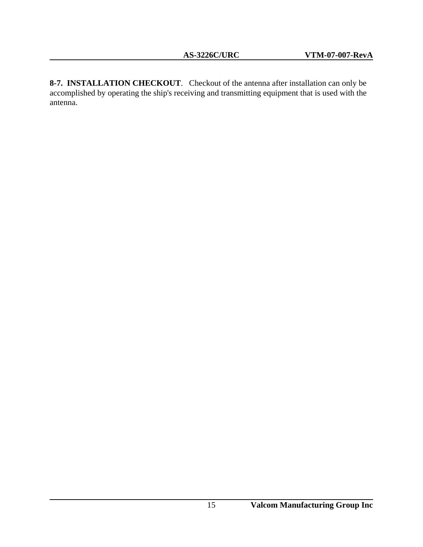**8-7. INSTALLATION CHECKOUT**. Checkout of the antenna after installation can only be accomplished by operating the ship's receiving and transmitting equipment that is used with the antenna.